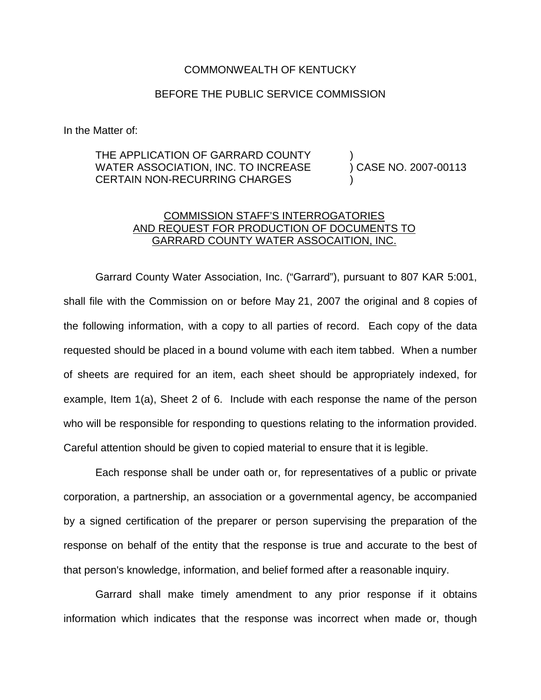## COMMONWEALTH OF KENTUCKY

## BEFORE THE PUBLIC SERVICE COMMISSION

In the Matter of:

## THE APPLICATION OF GARRARD COUNTY  $\hspace{1cm}$  )<br>WATER ASSOCIATION, INC. TO INCREASE  $\hspace{1cm}$  ) CASE NO. 2007-00113 WATER ASSOCIATION, INC. TO INCREASE CERTAIN NON-RECURRING CHARGES

## COMMISSION STAFF'S INTERROGATORIES AND REQUEST FOR PRODUCTION OF DOCUMENTS TO GARRARD COUNTY WATER ASSOCAITION, INC.

Garrard County Water Association, Inc. ("Garrard"), pursuant to 807 KAR 5:001, shall file with the Commission on or before May 21, 2007 the original and 8 copies of the following information, with a copy to all parties of record. Each copy of the data requested should be placed in a bound volume with each item tabbed. When a number of sheets are required for an item, each sheet should be appropriately indexed, for example, Item 1(a), Sheet 2 of 6. Include with each response the name of the person who will be responsible for responding to questions relating to the information provided. Careful attention should be given to copied material to ensure that it is legible.

Each response shall be under oath or, for representatives of a public or private corporation, a partnership, an association or a governmental agency, be accompanied by a signed certification of the preparer or person supervising the preparation of the response on behalf of the entity that the response is true and accurate to the best of that person's knowledge, information, and belief formed after a reasonable inquiry.

Garrard shall make timely amendment to any prior response if it obtains information which indicates that the response was incorrect when made or, though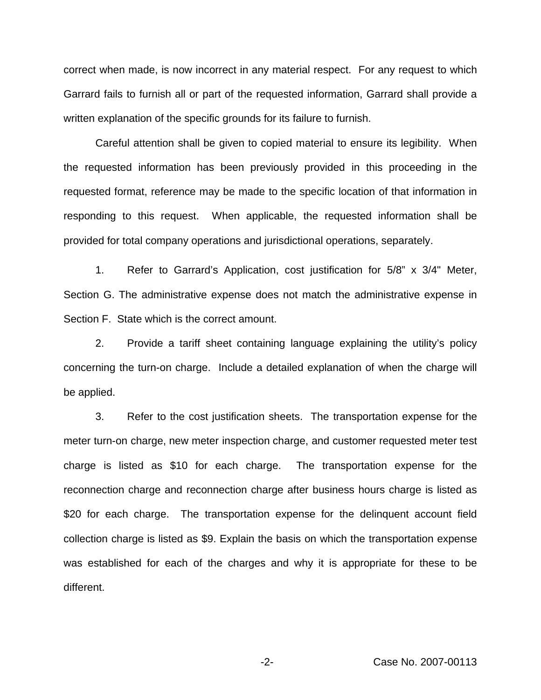correct when made, is now incorrect in any material respect. For any request to which Garrard fails to furnish all or part of the requested information, Garrard shall provide a written explanation of the specific grounds for its failure to furnish.

Careful attention shall be given to copied material to ensure its legibility. When the requested information has been previously provided in this proceeding in the requested format, reference may be made to the specific location of that information in responding to this request. When applicable, the requested information shall be provided for total company operations and jurisdictional operations, separately.

1. Refer to Garrard's Application, cost justification for 5/8" x 3/4" Meter, Section G. The administrative expense does not match the administrative expense in Section F. State which is the correct amount.

2. Provide a tariff sheet containing language explaining the utility's policy concerning the turn-on charge. Include a detailed explanation of when the charge will be applied.

3. Refer to the cost justification sheets. The transportation expense for the meter turn-on charge, new meter inspection charge, and customer requested meter test charge is listed as \$10 for each charge. The transportation expense for the reconnection charge and reconnection charge after business hours charge is listed as \$20 for each charge. The transportation expense for the delinquent account field collection charge is listed as \$9. Explain the basis on which the transportation expense was established for each of the charges and why it is appropriate for these to be different.

-2- Case No. 2007-00113